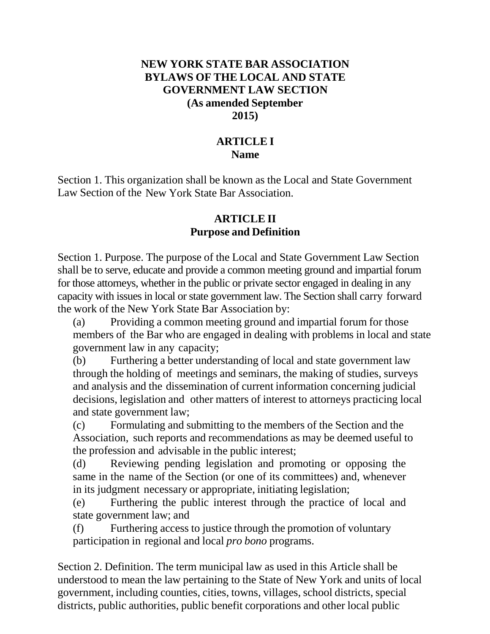### **NEW YORK STATE BAR ASSOCIATION BYLAWS OF THE LOCAL AND STATE GOVERNMENT LAW SECTION (As amended September 2015)**

## **ARTICLE I Name**

Section 1. This organization shall be known as the Local and State Government Law Section of the New York State Bar Association.

#### **ARTICLE II Purpose and Definition**

Section 1. Purpose. The purpose of the Local and State Government Law Section shall be to serve, educate and provide a common meeting ground and impartial forum for those attorneys, whether in the public or private sector engaged in dealing in any capacity with issues in local or state government law. The Section shall carry forward the work of the New York State Bar Association by:

(a) Providing a common meeting ground and impartial forum for those members of the Bar who are engaged in dealing with problems in local and state government law in any capacity;

(b) Furthering a better understanding of local and state government law through the holding of meetings and seminars, the making of studies, surveys and analysis and the dissemination of current information concerning judicial decisions, legislation and other matters of interest to attorneys practicing local and state government law;

(c) Formulating and submitting to the members of the Section and the Association, such reports and recommendations as may be deemed useful to the profession and advisable in the public interest;

(d) Reviewing pending legislation and promoting or opposing the same in the name of the Section (or one of its committees) and, whenever in its judgment necessary or appropriate, initiating legislation;

(e) Furthering the public interest through the practice of local and state government law; and

(f) Furthering access to justice through the promotion of voluntary participation in regional and local *pro bono* programs.

Section 2. Definition. The term municipal law as used in this Article shall be understood to mean the law pertaining to the State of New York and units of local government, including counties, cities, towns, villages, school districts, special districts, public authorities, public benefit corporations and other local public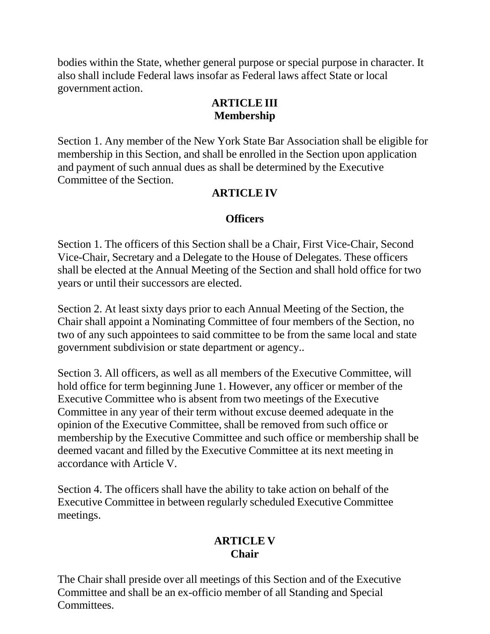bodies within the State, whether general purpose or special purpose in character. It also shall include Federal laws insofar as Federal laws affect State or local government action.

## **ARTICLE III Membership**

Section 1. Any member of the New York State Bar Association shall be eligible for membership in this Section, and shall be enrolled in the Section upon application and payment of such annual dues as shall be determined by the Executive Committee of the Section.

# **ARTICLE IV**

## **Officers**

Section 1. The officers of this Section shall be a Chair, First Vice-Chair, Second Vice-Chair, Secretary and a Delegate to the House of Delegates. These officers shall be elected at the Annual Meeting of the Section and shall hold office for two years or until their successors are elected.

Section 2. At least sixty days prior to each Annual Meeting of the Section, the Chair shall appoint a Nominating Committee of four members of the Section, no two of any such appointees to said committee to be from the same local and state government subdivision or state department or agency..

Section 3. All officers, as well as all members of the Executive Committee, will hold office for term beginning June 1. However, any officer or member of the Executive Committee who is absent from two meetings of the Executive Committee in any year of their term without excuse deemed adequate in the opinion of the Executive Committee, shall be removed from such office or membership by the Executive Committee and such office or membership shall be deemed vacant and filled by the Executive Committee at its next meeting in accordance with Article V.

Section 4. The officers shall have the ability to take action on behalf of the Executive Committee in between regularly scheduled Executive Committee meetings.

# **ARTICLE V Chair**

The Chair shall preside over all meetings of this Section and of the Executive Committee and shall be an ex-officio member of all Standing and Special **Committees**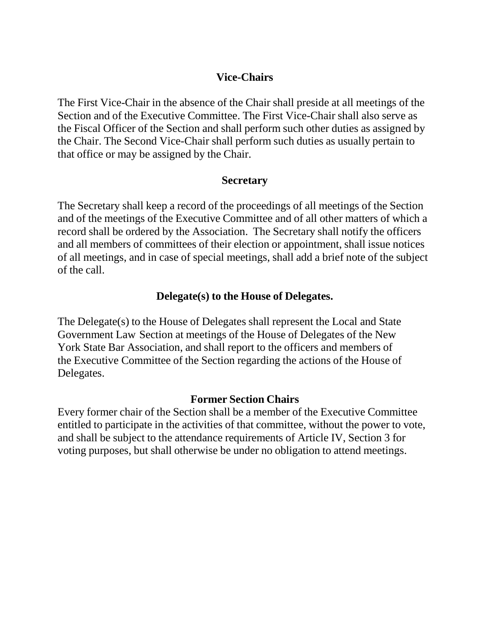### **Vice-Chairs**

The First Vice-Chair in the absence of the Chair shall preside at all meetings of the Section and of the Executive Committee. The First Vice-Chair shall also serve as the Fiscal Officer of the Section and shall perform such other duties as assigned by the Chair. The Second Vice-Chair shall perform such duties as usually pertain to that office or may be assigned by the Chair.

#### **Secretary**

The Secretary shall keep a record of the proceedings of all meetings of the Section and of the meetings of the Executive Committee and of all other matters of which a record shall be ordered by the Association. The Secretary shall notify the officers and all members of committees of their election or appointment, shall issue notices of all meetings, and in case of special meetings, shall add a brief note of the subject of the call.

# **Delegate(s) to the House of Delegates.**

The Delegate(s) to the House of Delegates shall represent the Local and State Government Law Section at meetings of the House of Delegates of the New York State Bar Association, and shall report to the officers and members of the Executive Committee of the Section regarding the actions of the House of Delegates.

#### **Former Section Chairs**

Every former chair of the Section shall be a member of the Executive Committee entitled to participate in the activities of that committee, without the power to vote, and shall be subject to the attendance requirements of Article IV, Section 3 for voting purposes, but shall otherwise be under no obligation to attend meetings.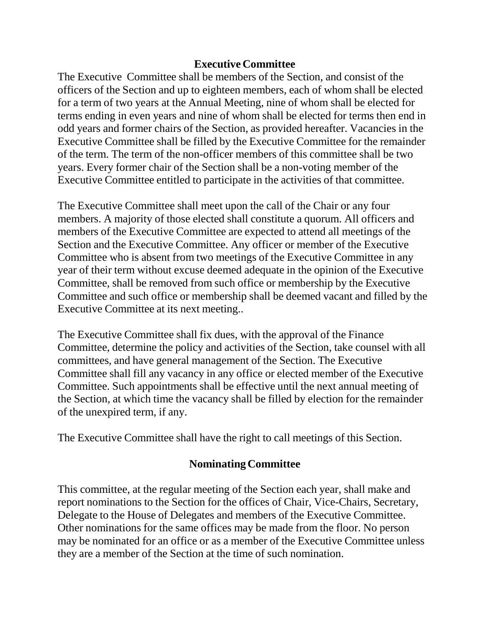#### **Executive Committee**

The Executive Committee shall be members of the Section, and consist of the officers of the Section and up to eighteen members, each of whom shall be elected for a term of two years at the Annual Meeting, nine of whom shall be elected for terms ending in even years and nine of whom shall be elected for terms then end in odd years and former chairs of the Section, as provided hereafter. Vacancies in the Executive Committee shall be filled by the Executive Committee for the remainder of the term. The term of the non-officer members of this committee shall be two years. Every former chair of the Section shall be a non-voting member of the Executive Committee entitled to participate in the activities of that committee.

The Executive Committee shall meet upon the call of the Chair or any four members. A majority of those elected shall constitute a quorum. All officers and members of the Executive Committee are expected to attend all meetings of the Section and the Executive Committee. Any officer or member of the Executive Committee who is absent from two meetings of the Executive Committee in any year of their term without excuse deemed adequate in the opinion of the Executive Committee, shall be removed from such office or membership by the Executive Committee and such office or membership shall be deemed vacant and filled by the Executive Committee at its next meeting..

The Executive Committee shall fix dues, with the approval of the Finance Committee, determine the policy and activities of the Section, take counsel with all committees, and have general management of the Section. The Executive Committee shall fill any vacancy in any office or elected member of the Executive Committee. Such appointments shall be effective until the next annual meeting of the Section, at which time the vacancy shall be filled by election for the remainder of the unexpired term, if any.

The Executive Committee shall have the right to call meetings of this Section.

#### **Nominating Committee**

This committee, at the regular meeting of the Section each year, shall make and report nominations to the Section for the offices of Chair, Vice-Chairs, Secretary, Delegate to the House of Delegates and members of the Executive Committee. Other nominations for the same offices may be made from the floor. No person may be nominated for an office or as a member of the Executive Committee unless they are a member of the Section at the time of such nomination.